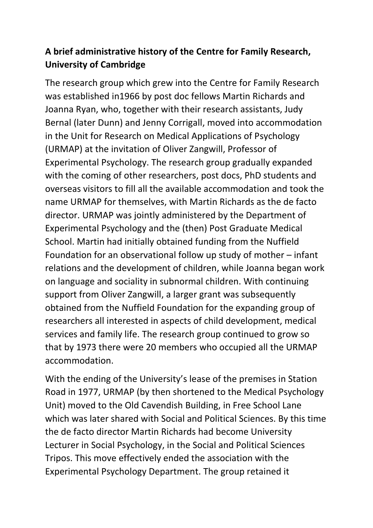## **A brief administrative history of the Centre for Family Research, University of Cambridge**

The research group which grew into the Centre for Family Research was established in1966 by post doc fellows Martin Richards and Joanna Ryan, who, together with their research assistants, Judy Bernal (later Dunn) and Jenny Corrigall, moved into accommodation in the Unit for Research on Medical Applications of Psychology (URMAP) at the invitation of Oliver Zangwill, Professor of Experimental Psychology. The research group gradually expanded with the coming of other researchers, post docs, PhD students and overseas visitors to fill all the available accommodation and took the name URMAP for themselves, with Martin Richards as the de facto director. URMAP was jointly administered by the Department of Experimental Psychology and the (then) Post Graduate Medical School. Martin had initially obtained funding from the Nuffield Foundation for an observational follow up study of mother – infant relations and the development of children, while Joanna began work on language and sociality in subnormal children. With continuing support from Oliver Zangwill, a larger grant was subsequently obtained from the Nuffield Foundation for the expanding group of researchers all interested in aspects of child development, medical services and family life. The research group continued to grow so that by 1973 there were 20 members who occupied all the URMAP accommodation.

With the ending of the University's lease of the premises in Station Road in 1977, URMAP (by then shortened to the Medical Psychology Unit) moved to the Old Cavendish Building, in Free School Lane which was later shared with Social and Political Sciences. By this time the de facto director Martin Richards had become University Lecturer in Social Psychology, in the Social and Political Sciences Tripos. This move effectively ended the association with the Experimental Psychology Department. The group retained it